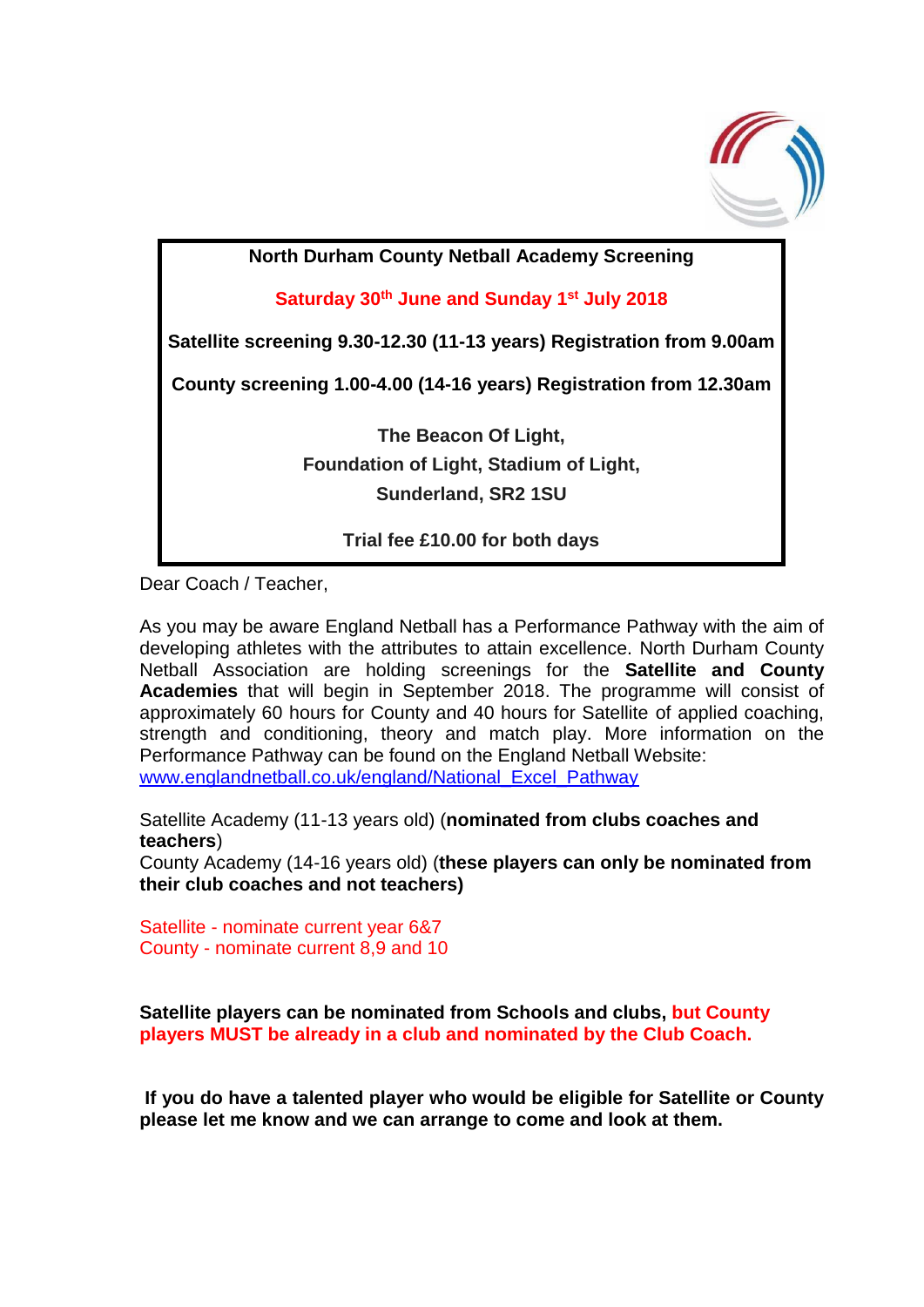

**North Durham County Netball Academy Screening**

**Saturday 30th June and Sunday 1st July 2018**

**Satellite screening 9.30-12.30 (11-13 years) Registration from 9.00am** 

**County screening 1.00-4.00 (14-16 years) Registration from 12.30am**

**The Beacon Of Light, Foundation of Light, Stadium of Light, Sunderland, SR2 1SU**

**Trial fee £10.00 for both days**

Dear Coach / Teacher,

As you may be aware England Netball has a Performance Pathway with the aim of developing athletes with the attributes to attain excellence. North Durham County Netball Association are holding screenings for the **Satellite and County Academies** that will begin in September 2018. The programme will consist of approximately 60 hours for County and 40 hours for Satellite of applied coaching, strength and conditioning, theory and match play. More information on the Performance Pathway can be found on the England Netball Website: [www.englandnetball.co.uk/england/National\\_Excel\\_Pathway](http://www.englandnetball.co.uk/england/National_Excel_Pathway)

Satellite Academy (11-13 years old) (**nominated from clubs coaches and teachers**)

County Academy (14-16 years old) (**these players can only be nominated from their club coaches and not teachers)**

Satellite - nominate current year 6&7 County - nominate current 8,9 and 10

**Satellite players can be nominated from Schools and clubs, but County players MUST be already in a club and nominated by the Club Coach.**

**If you do have a talented player who would be eligible for Satellite or County please let me know and we can arrange to come and look at them.**